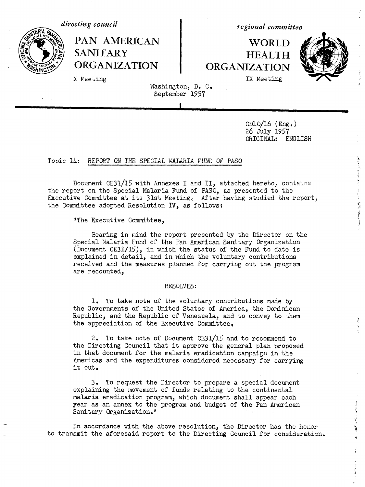



PAN AMERICAN | WORLD

*regional committee*

# SANITARY HEALTH<br>ORGANIZATION ORGANIZATION **ORGANIZATION ORGANIZATION**



1. 通过不到了第一个年轻了,你可以说,我们也可以看到第一届就会 通过 10

and the first

X Meeting **IX** Meeting

Washington, D. C. September 1957

CD10/16 (Eng.) 26 July 1957 ORIGINAL: ENGLISH

### Topic 14: REPORT ON THE SPECIAL MALARIA FUND OF PASO

Document CE31/15 with Annexes I and II, attached hereto, contains the report on the Special Malaria Fund of PASO, as presented to the Executive Committee at its 31st Meeting. After having studied the report, the Committee adopted Resolution IV, as follows:

"The Executive Committee,

Bearing in mind the report presented by the Director on the Special Malaria Fund of the Pan American Sanitary Organization (Document CE31/15), in which the status of the Fund to date is explained in detail, and in which the voluntary contributions received and the measures planned for carrying out the program are recounted,

#### RESOLVES:

1. To take note of the voluntary contributions made by the Governments of the United States of America, the Dominican Republic, and the Republic of Venezuela, and to convey to them the appreciation of the Executive Committee.

2. To take note of Document CE31/15 and to recommend to the Directing Council that it approve the general plan proposed in that document for the malaria eradication campaign in the Americas and the expenditures considered necessary for carrying it out.

3. To request the Director to prepare a special document explaining the movement of funds relating to the continental malaria eradication program, which document shall appear each year as an annex to the program and budget of the Pan American Sanitary Organization."

In accordance with the above resolution, the Director has the honor  $\begin{pmatrix} 1 & 1 \\ 2 & 3 \end{pmatrix}$ to transmit the aforesaid report to the Directing Council for consideration.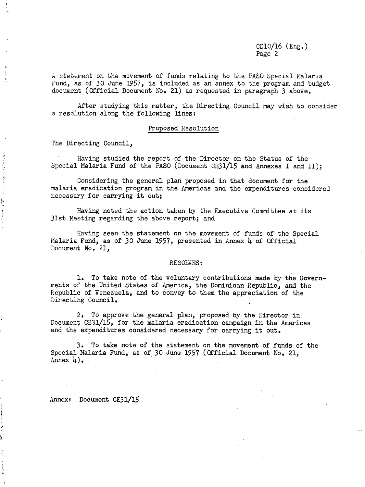$CD10/16$  (Eng.) Page 2

A statement on the movement of funds relating to the PASO Special Malaria Fund, as of 30 June 1957, is included as an annex to the program and budget document (Official Document No. 21) as requested in paragraph 3 above,

After studying this matter, the Directing Council may wish to consider a resolution along the following lines:

#### Proposed Resolution

The Directing Council,

ź Ì

はあげる 文化する はっぽうきょう トリックし

电子 医尿素

とうきょう あまわりる (過去などに)強い

Having studied the report of the Director on the Status of the Special Malaria Fund of the PASO (Document CE31/15 and Annexes I and II);

Considering the general plan proposed in that document for the malaria eradication program in the Americas and the expenditures considered necessary for carrying it out;

Having noted the action taken by the Executive Committee at its 31st Meeting regarding the above report; and

Having seen the statement on the movement of funds of the Special Malaria Fund, as of 30 June 1957, presented in Annex 4 of Official Document No. 21,

#### RESOLVES:

1. To take note of the voluntary contributions made by the Governments of the United States of America, the Dominican Republic, and the Republic of Venezuela, and to convey to them the appreciation of the Directing Council.

2. To approve the general plan, proposed by the Director in Document CE31/15, for the malaria eradication campaign in the Americas and the expenditures considered necessary for carrying it out.

3. To take note of the statement on the movement of funds of the Special Malaria Fund, as of 30 June 1957 (Official Document No. 21, Annex  $\downarrow$ ).

Annex: Document CE31/15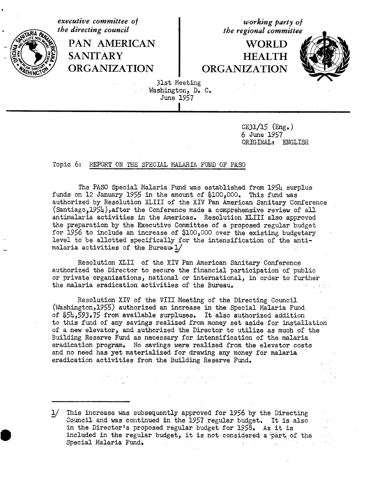*executive committee of*<br> *the directing council*<br> *the regional committee* the regional committee PAN AMERICAN I WORLD **SANITARY HEALTH ORGANIZATION ORGANIZATION** 31st Meeting Washington, D. C. June 1957

> CE31/15 (Eng.) 6 June 1957 ORIGINAL: ENGLISH

## Topic 6: REPORT ON THE SPECIAL MALLARIA FUND OF PASO

The PASO Special Malaria Fund was established from 1954 surplus funds on 12 January 1955 in the amount of \$100,000. This fund was authorized by Resolution XLIII of the XIV Pan American Sanitary Conference (Santiago,1954),after the Conference made a comprehensive review of all antimalaria activities in the Americas, Resolution XLIII also approved the preparation by the Executive Committee of a proposed regular budget for 1956 to include an increase of \$100,000 over the existing budgetary level to be allotted specifically for the intensification of the antimalaria activities of the Bureau  $1/$ 

Resolution XLII of the XIV Pan American Sanitary Conference authorized the Director to secure the financial participation of public or private organizations, national or international, in order to further the malaria eradication activities of the Bureau.

Resolution XIV of the VIII Meeting of the Directing Council (Washington,1955) authorized an increase in the Special Malaria Fund of \$54,593.75 from available surpluses. It also authorized addition to this fund of any savings realized from money set aside for installation of a new elevator, and authorized the Director to utilize as much of the Building Reserve Fund as necessary for intensification of the malaria eradication program. No savings were realized from the elevator costs and no need has yet materialized for drawing any money for malaria eradication activities from the Building Reserve Fund.

1/ This increase was subsequently approved for 1956 by the Directing Council and was continued in the 1957 regular budget. It is also in the Director's proposed regular budget for 1958. As it is included in the regular budget, it is not considered a part of the Special Malaria Fund.Control Ranche State Committee  $\mathcal{A}^{\text{max}}_{\text{max}}$  and  $\mathcal{A}^{\text{max}}_{\text{max}}$  $\sim 10^{-11}$ 

 $\label{eq:2.1} \mathcal{L}(\mathcal{M}) = \mathcal{L}(\mathcal{M}) = \mathcal{L}(\mathcal{M}) = \mathcal{L}(\mathcal{M}) = \mathcal{L}(\mathcal{M}) = \mathcal{L}(\mathcal{M}) = \mathcal{L}(\mathcal{M}) = \mathcal{L}(\mathcal{M}) = \mathcal{L}(\mathcal{M}) = \mathcal{L}(\mathcal{M}) = \mathcal{L}(\mathcal{M}) = \mathcal{L}(\mathcal{M}) = \mathcal{L}(\mathcal{M}) = \mathcal{L}(\mathcal{M}) = \mathcal{L}(\mathcal{M}) = \mathcal{L}(\mathcal{M}) = \mathcal$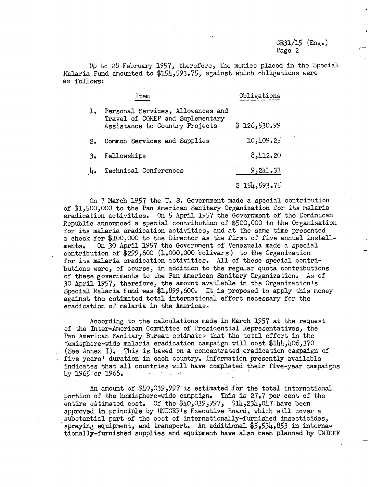Up to 28 February 1957, therefore, the monies placed in the Special Malaria Fund amounted to \$154,593.75, against which obligations were as follows:

|    | Item                                                                                                    | Obligations  |
|----|---------------------------------------------------------------------------------------------------------|--------------|
| ı. | Personal Services, Allowances and<br>Travel of COMEP and Suplementary<br>Assistance to Country Projects | \$126,530.99 |
| 2. | Common Services and Supplies                                                                            | 10,409.25    |
| 3. | Fellowships                                                                                             | 8,412,20     |
| 4. | Technical Conferences                                                                                   | 9,241.31     |
|    |                                                                                                         | \$154,593.75 |

On 7 March 1957 the U.S. Government made a special contribution of \$1,500,000 to the Pan American Sanitary Organization for its malaria eradication activities. On 5 April 1957 the Government of the Dominican Republic announced a special contribution of \$500,000 to the Organization for its malaria eradication activities, and at the same time presented a check for \$100,000 to the Director as the first of five annual installments. On 30 April 1957 the Government of Venezuela made a special contribution of \$299,600 (1,000,000 bolivars) to the Organization for its malaria eradication activities. All of these special contributions were, of course, in addition to the regular quota contributions of these governments to the Pan American Sanitary Organization. As of 30 April 1957, therefore, the amount available in the Organization's Special Malaria Fund was  $1,899,600$ . It is proposed to apply this money against the estimated total international effort necessary for the eradication of malaria in the Americas.

According to the calculations made in March 1957 at the request of the Inter-American Committee of Presidential Representatives, the Pan American Sanitary Bureau estimates that the total effort in the hemisphere-wide malaria eradication campaign will cost \$144,406,370 (See Annex I). This is based on a concentrated eradication campaign of five years' duration in each country. Information presently available indicates that all countries will have completed their five-year campaigns by  $1965$  or  $1966$ . **Simulation** 

An amount of \$40,039,997 is estimated for the total international portion of the hemisphere-wide campaign. This is 27.7 per cent of the entire estimated cost. Of the  $$40,039,997$ ,  $$14,234,047$  have been approved in principle by UNICEF's Executive Board, which will cover a substantial part of the cost of internationally-furnished insecticides, spraying equipment, and transport. An additional \$5,534,853 in internationally-furnished supplies and equipment have also been planned by UNICEF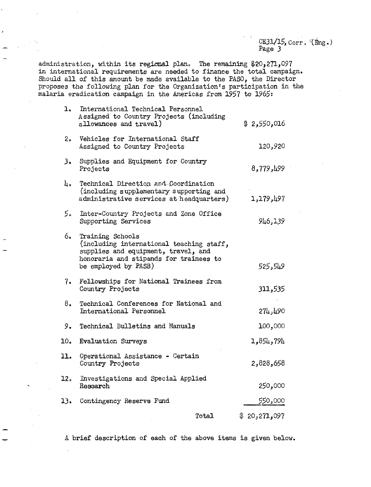CE31/15,  $Corr$ ,  $(mg)$ Page 3

administration, within its regional plane The remaining \$20,21 ,097 in international requirements are needed to finance the total campaign. Should all of this amount be made available to the PASO, the Director proposes the following plan for the Organization's participation in the malaria eradication campaign in the Americas from 1957 to 1965:

| l.             | International Technical Personnel<br>Assigned to Country Projects (including<br>allowances and travel)                                                                | \$2,550,016  |
|----------------|-----------------------------------------------------------------------------------------------------------------------------------------------------------------------|--------------|
| 2 <sub>o</sub> | Vehicles for International Staff<br>Assigned to Country Projects                                                                                                      | 120,920      |
| 3.             | Supplies and Equipment for Country<br>Projects                                                                                                                        | 8,779,199    |
| L٥.            | Technical Direction and Coordination<br>(including supplementary supporting and<br>administrative services at headquarters)                                           | 1,179,497    |
| 5۰             | Inter-Country Projects and Zone Office<br>Supporting Services                                                                                                         | 946,139      |
| 6.             | Training Schools<br>(including international teaching staff,<br>supplies and equipment, travel, and<br>honoraria and stipends for trainees to<br>be employed by PASB) | 525,549      |
| 7.             | Fellowships for National Trainees from<br>Country Projects                                                                                                            | 311,535      |
| 8.             | Technical Conferences for National and<br>International Personnel                                                                                                     | 274,490      |
| 9.             | Technical Bulletins and Manuals                                                                                                                                       | 100,000      |
| 10.            | <b>Evaluation Surveys</b>                                                                                                                                             | 1,854,794    |
| 11.            | Operational Assistance - Certain<br>Country Projects                                                                                                                  | 858,658      |
| 12.            | Investigations and Special Applied<br>Research                                                                                                                        | 250,000      |
| 13.            | Contingency Reserve Fund                                                                                                                                              | 550,000      |
|                | Total.                                                                                                                                                                | \$20,271,097 |

A brief description of each of the above items is given below.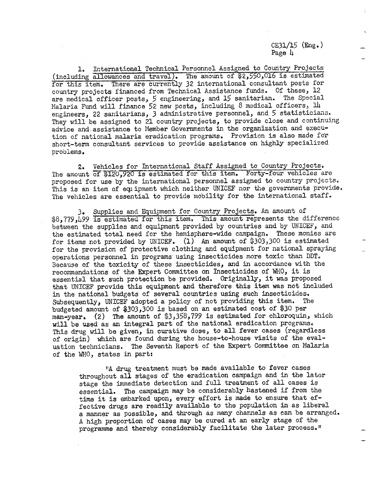CE31/15 (Eng.) Page  $\mu$ 

1. International Technical Personnel Assigned to Country Projects (including allowances and travel). The amount of \$2,550,016 is estimated for this item. There are currently 32 international consultant posts for country projects financed from Technical Assistance funds. Of these, 12 are medical officer posts, 5 engineering, and 15 sanitarian. The Special Malaria Fund will finance 52 new posts, including 8 medical officers, 14 engineers, 22 sanitarians, 3 administrative personnel, and 5 statisticians. They will be assigned to 21 country projects, to provide close and continuing advice and assistance to Member Governments in the organization and execution of national malaria eradication programs. Provision is also made for short-term consultant services to provide assistance on highly specialized problems.

2. Vehicles for International Staff Assigned to Country Projects. The amount of \$120,920 is estimated for this item. Forty-four vehicles are proposed for use by the international personnel assigned to country projects. This is an item of equipment which neither UNICEF nor the governments provide. The vehicles are essential to provide mobility for the international staff.

3. Supplies and Equipment for Country Projects. An amount of \$8,779,499 is estimated for this item. This amount represents the difference between the supplies and equipment provided by countries and by UNICEF, and the estimated total need for the hemisphere-wide campaign. These monies are for items not provided by UNICEF. (1) An amount of \$303,300 is estimated for the provision of protective clothing and equipment for national spraying operations personnel in programs using insecticides more toxic than DDT. Because of the toxicity of these insecticides, and in accordance with the recommendations of the Expert Committee on Insecticides of WHO, it is essential that such protection be provided. Originally, it was proposed that UNICEF provide this equipment and therefore this'item was not included in the national budgets of several countries using such insecticides. Subsequently, UNICEF adopted a policy of not providing this item. The budgeted amount of \$303,300 is based on an estimated cost of \$30 per man-year. (2) The amount of \$3,358,799 is estimated for chloroquin, which will be used as an integral part of the national eradication programs. This drug will be given, in curative dose, to all fever cases (regardless of origin) which are found during the house-to-house visits of the evaluation technicians. The Seventh Report of the Expert Committee on Malaria of the WHO, states in part:

"A drug treatment must be made available to fever cases throughout all stages of the eradication campaign and in the later stage the immediate detection and full treatment of all cases is essential. The campaign may be considerably hastened if from the time it is embarked upon, every effort is made to ensure that effective drugs are readily available to the population in as liberal a manner as possible, and through as many channels as can be arranged. A high proportion of cases may be cured at an early stage of the programme and thereby considerably facilitate the later process."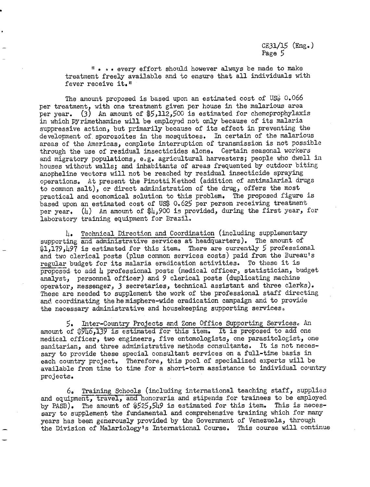**"** .\* . every effort should however always be made to make treatment freely available and to ensure that all individuals with fever receive it."

The amount proposed is based upon an estimated cost of US\$  $0.066$ per treatment, with one treatment given per house in the malarious area per year. (3) An amount of  $$5,112,500$  is estimated for chemoprophylaxis in which Pyrimethamine will be employed not only because of its malaria suppressive action, but primarily because of its effect in preventing the development of. sporozoites in the mosquitoes. In certain of the malarious areas of the Americas, complete interruption of transmission is not possible through the use of residual insecticides alone. Certain seasonal workers and migratory populations, e.g. agricultural harvesters; people who dwell in houses without walls; and inhabitants of areas frequented by outdoor biting anopheline vectors will not be reached by residual insecticide spraying operations, At present the Pinotti Method (addition of antimalarial drugs to common salt), or direct administration of the drug, offers the most practical and economical solution to this problem. The proposed figure is based upon an estimated cost of US\$ 0.625 per person receiving treatment per year. (4) An amount of  $\frac{1}{2}900$  is provided, during the first year, for laboratory training equipment for Brazil.

4. Technical Direction and Coordination (including supplementary supporting and administrative services at headquarters). The amount of \$1,179,497 is estimated for this item. There are currently 5 professional and two clerical posts (plus common services costs) paid from the Bureau's regular budget for its malaria eradication activities, To these it is proposed to add 4 professional posts (medical officer, statistician, budget analyst, personnel officer) and 9 clerical posts (duplicating machine operator, messenger, 3 secretaries, technical assistant and three clerks). These are needed to supplement the work of the professional staff directing and coordinating the he misphere-wide eradication campaign and to provide the necessary administrative and housekeeping supporting services,

5. Inter-Country Projects and Zone Office Supporting Services, An amount of \$946,139 is estimated for this item. It is proposed to add one medical officer, two engineers, five entomologists, one parasitologist, one sanitarian, and three administrative methods consultants. It is not necessary to provide these special consultant services on a full-time basis in each country project. Therefore, this pool of specialized experts will be available from time to time for a short-term assistance to individual country projects.

6. Training Schools (including international teaching staff, supplies and equipment, travel, and honoraria and stipends for trainees to be employed by PASB). The amount of \$525,549 is estimated for this item. This is necessary to supplement the fundamental and comprehensive training which for many years has been generously provided by the Government of Venezuela, through the Division of Malariology's International Course. This course will continue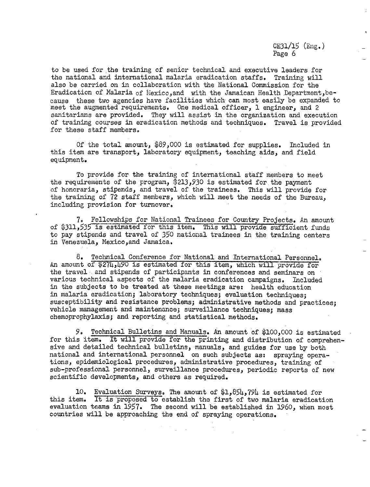CE31/15 (Eng.) Page 6

to be used for the training of senior technical and executive leaders for the national and international malaria eradication staffs. Training will also be carried on in collaboration with the National Commission for the Eradication of Malaria of Mexico,and with the Jamaican Health Department,because these two agencies have facilities which can most easily be expanded to meet the augmented requirements. One medical officer, 1 engineer, and 2 sanitarians are provided. They will assist in the organization and execution of training courses in eradication methods and techniques. Travel is provided for these staff members.

Of the total amount, \$89,000 is estimated for supplies. Included in this item are transport, laboratory equipment, teaching aids, and field equipment.

To provide for the training of international staff members to meet the requirements of the program, \$213,930 is estimated for the payment of honoraria, stipends, and travel of the trainees. This will provide for the training of 72 staff members, which will meet the needs of the Bureau, including provision for turnover.

7. Fellowships for National Trainees for Country Projects. An amount of \$311,535 is estimated for this item. This will provide sufficient funds to pay stipends and travel of 350 national trainees in the training centers in Venezuela, Mexico,and Jamaica.

8. Technical Conference for National and International Personnel. An amount of \$274,490 is estimated for this item, which will provide for the travel and stipends of participants in conferences and seminars on various technical aspects of the malaria eradication campaigns. Included in the subjects to be treated at these meetings are: health education in malaria eradication; laboratory techniques; evaluation techniques; susceptibility and resistance problems; administrative methods and practices; vehicle management and maintenance; surveillance techniques; mass chemoprophylaxis; and reporting and statistical methods.

9. Technical Bulletins and Manuals. An amount of \$100,000 is estimated for this item. It will provide for the printing and distribution of comprehensive and detailed technical bulletins, manuals, and guides for use by both national and international personnel on such subjects as: spraying operations, epidemiological procedures, administrative procedures, training of sub-professional personnel, surveillance procedures, periodic reports of new scientific developments, and others as required.

10. Evaluation Surveys. The amount of \$1,854,794 is estimated for this item. It is proposed to establish the first of two malaria eradication evaluation teams in 1957. The second will be established in 1960, when most countries will be approaching the end of spraying operations.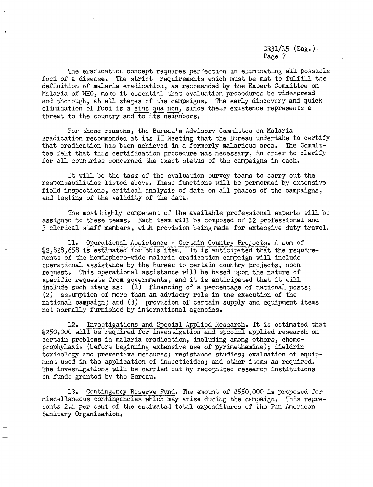$CE31/15$  (Eng.) Page 7

The eradication concept requires perfection in eliminating all possible foci of a disease. The strict requirements which must be met to fulfill the definition of malaria eradication, as recomended by the Expert Committee on Malaria of WHO, make it essential that evaluation procedures be widespread and thorough, at all stages of the campaigns. The early discovery and quick elimination of foci is a sine qua non, since their existence represents a threat to the country and to its neighbors.

For these reasons, the Bureau's Advisory Committee on Malaria Eradication recommended at its II Meeting that the Bureau undertake to certify that eradication has been achieved in a formerly malarious area, The Committee felt that this certification procedure was necessary, in order to clarify for all countries concerned the exact status of the campaigns in each.

It will be the task of the evaluation survey teams to carry out the responsabilities listed above. These functions will be permormed by extensive field inspections, critical analysis of data on all phases of the campaigns, and testing of the validity of the data.

The most highly competent of the available professional experts will be assigned to these teams. Each team will be composed of 12 professional and 3 clerical staff members, with provision being made for extensive duty travel.

11. Operational Assistance - Certain Country Projects. A sum of \$2,828,658 is estimated for this item. It is anticipated that the requirements of the hemisphere-wide malaria eradication campaign will include operational assistance by the Bureau to certain country projects, upon request. This operational assistance will be based upon the nature of specific requests from governments, and it is anticipated that it will include such items as: (1) financing of a percentage of national posts; (2) assumption of more than an advisory role in the execution of the national campaign; and (3) provision of certain supply and equipment items not normally furnished by international agencies.

12. Investigations and Special Applied Research. It is estimated that \$250,000 will be required for investigation and special applied research on certain problems in malaria eradication, including among others, chemoprophylaxis (before beginning extensive use of pyrimethamine); dieldrin toxicology and preventive measures; resistance studies; evaluation of equipment used in the application of insecticides; and other items as required, The investigations will be carried out by recognized research institutions on funds granted by the Bureau.

13. Contingency Reserve Fund. The amount of \$550,000 is proposed for miscellaneous contingencies which may arise during the campaign. This represents 2.4 per cent of the estimated total expenditures of the Pan American Sanitary Organization.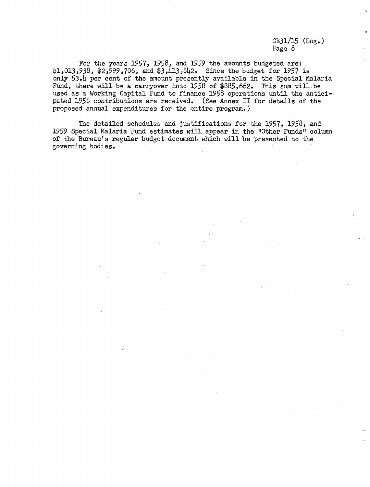$CE31/15$  (Eng.) Page 8

For the years 1957, 1958, and 1959 the amounts budgeted are: \$1,013,938, \$2,999,706, and \$3,413,842. Since the budget for 1957 is only 53.4 per cent of the amount presently available in the Special Malaria Fund, there will be a carryover into 1958 of \$885,662. This sum will be used as a Working Capital Fund to finance 1958 operations until the anticipated 1958 contributions are received. (See Annex II for details of the proposed annual expenditures for the entire program.)

The detailed schedules and justifications for the 1957, 1958, and 1959 Special Malaria Fund estimates will appear in the "Other Funds" column of the Bureau's regular budget document which will be presented to the governing bodies.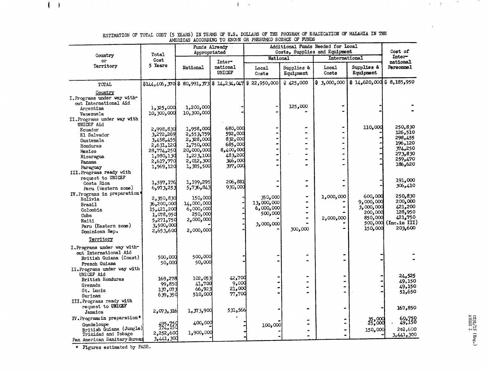|                                                                                                                                        |                                                                                                       | <b>ATLILUAD</b><br>Appropriated                                                                       | Funds Already                                                                          | WOODLING TO MOVIE OIL THROSTED DOORGE<br>Additional Funds Needed for Local | Cost of                 |                                                |                                                                               |                                                                                      |  |
|----------------------------------------------------------------------------------------------------------------------------------------|-------------------------------------------------------------------------------------------------------|-------------------------------------------------------------------------------------------------------|----------------------------------------------------------------------------------------|----------------------------------------------------------------------------|-------------------------|------------------------------------------------|-------------------------------------------------------------------------------|--------------------------------------------------------------------------------------|--|
| Country<br>or                                                                                                                          | Total<br>Cost                                                                                         |                                                                                                       |                                                                                        | National                                                                   |                         | Costs, Supplies and Equipment<br>International | Inter-                                                                        |                                                                                      |  |
| Territory                                                                                                                              | 5 Years                                                                                               | National                                                                                              | Inter-<br>national<br>UNICEF                                                           |                                                                            | Supplies &<br>Equipment | Local<br>Costs                                 | Supplies &<br>Equipment                                                       | national<br>Personnel                                                                |  |
| TOTAL                                                                                                                                  | $$144,406,370$$ \$ 80,991, 373 \$ 14,234, 047 \$ 22,950,000                                           |                                                                                                       |                                                                                        |                                                                            | \$425,000               | \$3,000,000                                    | $$14,620,000$$ \$ 8,185,950                                                   |                                                                                      |  |
| Country<br>I. Programs under way with-<br>out International Aid<br>Argentina<br>Venezuela<br>II. Programs under way with               | 1,325,000<br>10,300,000                                                                               | 1,200,000<br>10,300,000                                                                               |                                                                                        |                                                                            | 125,000                 |                                                |                                                                               |                                                                                      |  |
| UNICEF Aid<br>Ecuador<br>El Salvador<br>Guatemala<br>Honduras<br>Mexico<br>Nicaragua<br>Panama<br>Paraguay<br>III. Programs ready with | 2,998,830<br>3,272,269<br>3,458,455<br>2,631,120<br>28,774,250<br>1,980,130<br>2,617,770<br>1,969,120 | 1,958,000<br>2,553,759<br>2,328,000<br>1,750,000<br>20,000,000<br>1,223,100<br>2,012,300<br>1,385,500 | 680,000<br>592,000<br>832,000<br>685,000<br>8,400,000<br>483,200<br>346,000<br>397,000 |                                                                            |                         |                                                | 110,000                                                                       | 250,830<br>126,510<br>298,455<br>196,120<br>374,250<br>273,830<br>259,470<br>186,620 |  |
| request to UNICEF<br>Costa Rica<br>Peru (Western zone)                                                                                 | 1,597,176<br>6,973,253                                                                                | 1,199,295<br>5,736,843                                                                                | 206,881<br>930,000                                                                     |                                                                            |                         |                                                |                                                                               | 191,000<br>306,410                                                                   |  |
| IV. Programs in preparation*<br>Bolivia<br><b>Brazil</b><br>Colombia<br>Cuba<br>Haiti<br>Peru (Eastern zone)<br>Dominican Rep.         | 2,350,830<br>36,200,000<br>15,421,200<br>1,078,950<br>750,271,275<br>3,500,000<br>2,653,600           | 150,000<br>14,000,000<br>6,000,000<br>250,000<br>2,000,000<br>2,000,000                               |                                                                                        | 350,000<br>13,000,000<br>6,000,000<br>500,000<br>3,000,000                 | 300,000                 | 1,000,000<br>2,000,000                         | 600,000<br>9,000,000<br>3,000,000<br>200,000<br>850,000<br>500,000<br>150,000 | 250,830<br>200,000<br>421,200<br>128,950<br>421,750<br>(Inc.in III)<br>203,600       |  |
| Territory                                                                                                                              |                                                                                                       |                                                                                                       |                                                                                        |                                                                            |                         |                                                |                                                                               |                                                                                      |  |
| I. Programs under way with-<br>out International Aid<br>British Guiana (Coast)<br>French Guiana<br>II. Programs under way with         | 500,000<br>50,000                                                                                     | 500,000<br>50,000                                                                                     |                                                                                        |                                                                            |                         |                                                |                                                                               |                                                                                      |  |
| UNICEF Aid<br>British Honduras<br>Grenada<br>St. Lucia<br>Surinam                                                                      | 169,278<br>99,850<br>137,073<br>639,350                                                               | 102,053<br>41,700<br>66,923<br>510,000                                                                | 42,700<br>9,000<br>21,000<br>77,700                                                    |                                                                            |                         |                                                |                                                                               | 24,525<br>49,150<br>49,150<br>51,650                                                 |  |
| III. Programs ready with<br>request to UNICEF<br>Jamaica                                                                               | 2,073,316                                                                                             | 1,373,900                                                                                             | 531,566                                                                                |                                                                            |                         |                                                |                                                                               | 167,850                                                                              |  |
| IV. Programs in preparation*<br>Guadeloupe<br>British Guiana (Jungle)<br>Trinidad and Tobago<br>Pan American Sanitary Bureau           | 495,759<br>174,150<br>2,252,600<br>3,441,300                                                          | 400,000<br>1,900,000                                                                                  |                                                                                        | 100,000                                                                    |                         |                                                | 35,000<br>150,000                                                             | 60,750<br>49,150<br>202,600<br>3,441,300                                             |  |

ESTIMATION OF TOTAL COST (5 YEARS) IN TERMS OF U.S. DOLLARS OF THE PROGRAM OF ERADICATION OF MALARIA IN THE<br>AMERICAS ACCORDING TO KNOWN OR PRESUMED SOURCE OF FUNDS

 $\bar{1}$  ,  $\bar{1}$ 

and the

\* Figures estimated by PASB.

 $\left( -\right)$ 

 $\alpha \in \mathcal{A}$  .

and the second control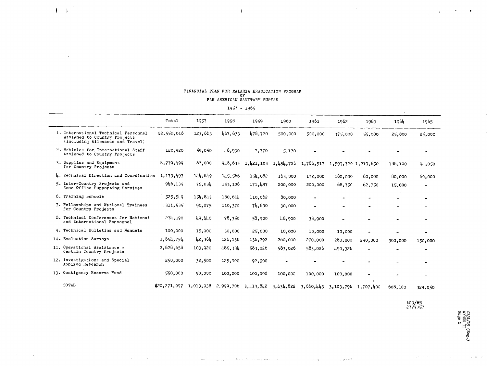| -921 - 1992                                                                                              |              |         |                                                               |           |           |           |                     |                     |           |                |
|----------------------------------------------------------------------------------------------------------|--------------|---------|---------------------------------------------------------------|-----------|-----------|-----------|---------------------|---------------------|-----------|----------------|
|                                                                                                          | Total        | 1957    | 1958                                                          | 1959      | 1960      | 1961      | 1962                | 1963                | 1964      | 1965           |
| 1. International Technical Personnel<br>Assigned to Country Projects<br>(Including Allowance and Travel) | \$2,550,016  | 123,663 | 467,633                                                       | 478.720   | 500,000   | 500,000   | 375,000             | 55,000              | 25,000    | 25,000         |
| 2. Vehicles for International Staff<br>Assigned to Country Projects                                      | 120,920      | 59.050  | 48,930                                                        | 7,770     | 5.170     |           |                     |                     |           |                |
| 3. Supplies and Equipment<br>for Country Projects                                                        | 8,779,499    | 67,000  | 948.633                                                       | 1,421,103 | 1,454,726 | 1,786,517 | 1,599,720 1,219,650 |                     | 188,100   | 94,050         |
| 4. Technical Direction and Coordination                                                                  | 1,179,497    | 144,849 | 145.566                                                       | 154.082   | 163,000   | 172,000   | 180,000             | 80,000              | 80,000    | 60,000         |
| 5. Inter-Country Projects and<br>Zone Office Supporting Services                                         | 946,139      | 75,034  | 153,108                                                       | 171,497   | 200,000   | 200,000   | 68,750              | 62.750              | 15,000    | $\blacksquare$ |
| 6. Training Schools                                                                                      | 525,549      | 154,843 | 180,644                                                       | 110.062   | 80,000    |           |                     |                     |           |                |
| 7. Fellowships and National Trainees<br>for Country Projects                                             | 311,535      | 96,275  | 110,370                                                       | 74.890    | 30,000    | $\bullet$ |                     |                     |           |                |
| 8. Technical Conferences for National<br>and International Personnel                                     | 274.490      | 49.440  | 78,350                                                        | 58,900    | 48,900    | 38,900    |                     |                     |           |                |
| 9. Technical Bulletins and Manuals                                                                       | 100,000      | 15,000  | 30,000                                                        | 25,000    | 10,000    | 10,000    | 10,000              |                     | ۰         |                |
| 10. Evaluation Surveys                                                                                   | 1,854,794    | 42,364  | 126,138                                                       | 136,292   | 260,000   | 270,000   | 280,000             | 290,000             | 300,000   | 150,000        |
| 11. Operational Assistance -<br>Certain Country Projects                                                 | 2,828,658    | 103,920 | 485,334                                                       | 583.026   | 583,026   | 583.026   | 490,326             |                     | $\bullet$ |                |
| 12. Investigations and Special<br>Applied Research                                                       | 250,000      | 32,500  | 125,000                                                       | 92.500    | $\bullet$ |           |                     |                     |           |                |
| 13. Contigency Reserve Fund                                                                              | 550,000      | 50,000  | 100,000                                                       | 100,000   | 100,000   | 100,000   | 100,000             |                     |           |                |
| TOTAL                                                                                                    | \$20,271,097 |         | $1, 013, 938$ 2, 999, 706 3, 413, 842 3, 434, 822 3, 660, 443 |           |           |           |                     | 3,103,796 1,707,400 | 608,100   | 329,050        |

 $\sim$ 

be a service of the process.

Service.

 $\sim$ 

## FINANCIAL PLAN FOR MALARIA ERADICATION PROGRAM<br>OF PAN AMERICAN SANITARY BUREAU

 $\mathbf{1}^{\prime}$  ,  $\mathbf{1}^{\prime}$ 

 $\left( 1-\left\vert \mathbf{1}\right\vert ^{2}\right)$ 

 $\sim 10$ 

 $\sim 100$ 

 $\mathcal{A}=\{a_1,a_2,a_3,\ldots,a_n\}$ 

<sup>1957</sup>- <sup>1965</sup>

**AOC/ME** 27/V/57

 $\gamma_{\mu}$  is a second .

أقليس إيرا

 $\hat{\mu}$  ,  $\hat{\mu}$ 

 $\mathbf{t} = -\mathbf{t}$ 

 $\sim$   $\star$  .

**'w** a **H** - **H**

المراجي